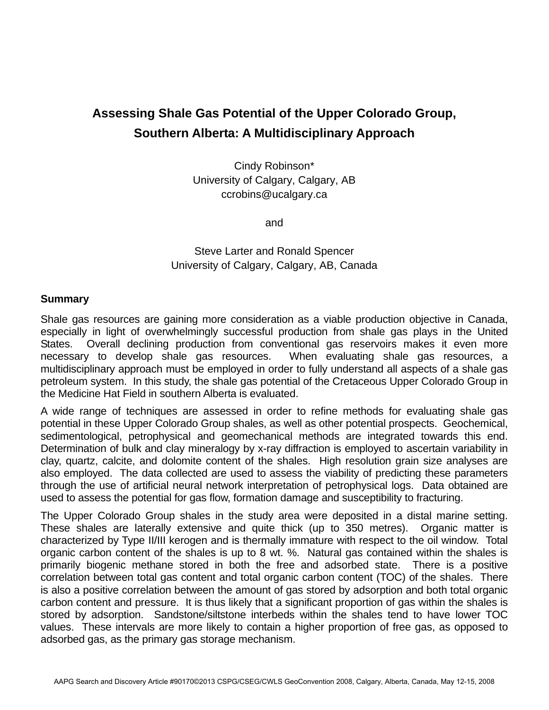## **Assessing Shale Gas Potential of the Upper Colorado Group, Southern Alberta: A Multidisciplinary Approach**

Cindy Robinson\* University of Calgary, Calgary, AB ccrobins@ucalgary.ca

and

## Steve Larter and Ronald Spencer University of Calgary, Calgary, AB, Canada

## **Summary**

Shale gas resources are gaining more consideration as a viable production objective in Canada, especially in light of overwhelmingly successful production from shale gas plays in the United States. Overall declining production from conventional gas reservoirs makes it even more necessary to develop shale gas resources. When evaluating shale gas resources, a multidisciplinary approach must be employed in order to fully understand all aspects of a shale gas petroleum system. In this study, the shale gas potential of the Cretaceous Upper Colorado Group in the Medicine Hat Field in southern Alberta is evaluated.

A wide range of techniques are assessed in order to refine methods for evaluating shale gas potential in these Upper Colorado Group shales, as well as other potential prospects. Geochemical, sedimentological, petrophysical and geomechanical methods are integrated towards this end. Determination of bulk and clay mineralogy by x-ray diffraction is employed to ascertain variability in clay, quartz, calcite, and dolomite content of the shales. High resolution grain size analyses are also employed. The data collected are used to assess the viability of predicting these parameters through the use of artificial neural network interpretation of petrophysical logs. Data obtained are used to assess the potential for gas flow, formation damage and susceptibility to fracturing.

The Upper Colorado Group shales in the study area were deposited in a distal marine setting. These shales are laterally extensive and quite thick (up to 350 metres). Organic matter is characterized by Type II/III kerogen and is thermally immature with respect to the oil window. Total organic carbon content of the shales is up to 8 wt. %. Natural gas contained within the shales is primarily biogenic methane stored in both the free and adsorbed state. There is a positive correlation between total gas content and total organic carbon content (TOC) of the shales. There is also a positive correlation between the amount of gas stored by adsorption and both total organic carbon content and pressure. It is thus likely that a significant proportion of gas within the shales is stored by adsorption. Sandstone/siltstone interbeds within the shales tend to have lower TOC values. These intervals are more likely to contain a higher proportion of free gas, as opposed to adsorbed gas, as the primary gas storage mechanism.